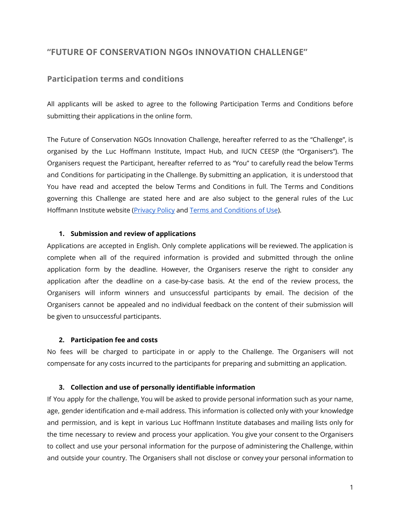# **"FUTURE OF CONSERVATION NGOs INNOVATION CHALLENGE"**

## **Participation terms and conditions**

All applicants will be asked to agree to the following Participation Terms and Conditions before submitting their applications in the online form.

The Future of Conservation NGOs Innovation Challenge, hereafter referred to as the "Challenge", is organised by the Luc Hoffmann Institute, Impact Hub, and IUCN CEESP (the "Organisers"). The Organisers request the Participant, hereafter referred to as "You" to carefully read the below Terms and Conditions for participating in the Challenge. By submitting an application, it is understood that You have read and accepted the below Terms and Conditions in full. The Terms and Conditions governing this Challenge are stated here and are also subject to the general rules of the Luc Hoffmann Institute website [\(Privacy](https://luchoffmanninstitute.org/privacy-statement/) Policy and Terms and [Conditions](https://luchoffmanninstitute.org/terms-and-conditions-of-use/) of Use).

### **1. Submission and review of applications**

Applications are accepted in English. Only complete applications will be reviewed. The application is complete when all of the required information is provided and submitted through the online application form by the deadline. However, the Organisers reserve the right to consider any application after the deadline on a case-by-case basis. At the end of the review process, the Organisers will inform winners and unsuccessful participants by email. The decision of the Organisers cannot be appealed and no individual feedback on the content of their submission will be given to unsuccessful participants.

#### **2. Participation fee and costs**

No fees will be charged to participate in or apply to the Challenge. The Organisers will not compensate for any costs incurred to the participants for preparing and submitting an application.

### **3. Collection and use of personally identifiable information**

If You apply for the challenge, You will be asked to provide personal information such as your name, age, gender identification and e-mail address. This information is collected only with your knowledge and permission, and is kept in various Luc Hoffmann Institute databases and mailing lists only for the time necessary to review and process your application. You give your consent to the Organisers to collect and use your personal information for the purpose of administering the Challenge, within and outside your country. The Organisers shall not disclose or convey your personal information to